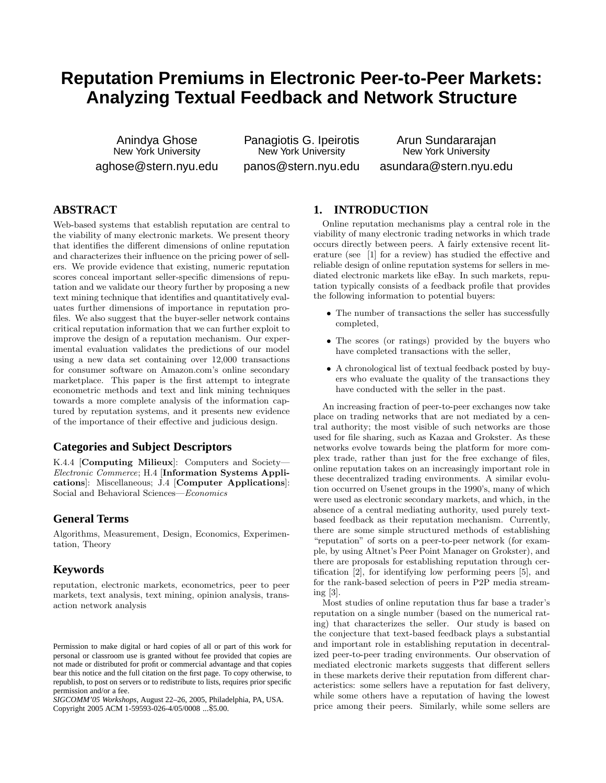# **Reputation Premiums in Electronic Peer-to-Peer Markets: Analyzing Textual Feedback and Network Structure**

Anindya Ghose New York University aghose@stern.nyu.edu

Panagiotis G. Ipeirotis New York University panos@stern.nyu.edu

Arun Sundararajan New York University asundara@stern.nyu.edu

# **ABSTRACT**

Web-based systems that establish reputation are central to the viability of many electronic markets. We present theory that identifies the different dimensions of online reputation and characterizes their influence on the pricing power of sellers. We provide evidence that existing, numeric reputation scores conceal important seller-specific dimensions of reputation and we validate our theory further by proposing a new text mining technique that identifies and quantitatively evaluates further dimensions of importance in reputation profiles. We also suggest that the buyer-seller network contains critical reputation information that we can further exploit to improve the design of a reputation mechanism. Our experimental evaluation validates the predictions of our model using a new data set containing over 12,000 transactions for consumer software on Amazon.com's online secondary marketplace. This paper is the first attempt to integrate econometric methods and text and link mining techniques towards a more complete analysis of the information captured by reputation systems, and it presents new evidence of the importance of their effective and judicious design.

## **Categories and Subject Descriptors**

K.4.4 [**Computing Milieux**]: Computers and Society— *Electronic Commerce*; H.4 [**Information Systems Applications**]: Miscellaneous; J.4 [**Computer Applications**]: Social and Behavioral Sciences—*Economics*

# **General Terms**

Algorithms, Measurement, Design, Economics, Experimentation, Theory

# **Keywords**

reputation, electronic markets, econometrics, peer to peer markets, text analysis, text mining, opinion analysis, transaction network analysis

*SIGCOMM'05 Workshops,* August 22–26, 2005, Philadelphia, PA, USA. Copyright 2005 ACM 1-59593-026-4/05/0008 ...\$5.00.

# **1. INTRODUCTION**

Online reputation mechanisms play a central role in the viability of many electronic trading networks in which trade occurs directly between peers. A fairly extensive recent literature (see [1] for a review) has studied the effective and reliable design of online reputation systems for sellers in mediated electronic markets like eBay. In such markets, reputation typically consists of a feedback profile that provides the following information to potential buyers:

- The number of transactions the seller has successfully completed,
- The scores (or ratings) provided by the buyers who have completed transactions with the seller,
- A chronological list of textual feedback posted by buyers who evaluate the quality of the transactions they have conducted with the seller in the past.

An increasing fraction of peer-to-peer exchanges now take place on trading networks that are not mediated by a central authority; the most visible of such networks are those used for file sharing, such as Kazaa and Grokster. As these networks evolve towards being the platform for more complex trade, rather than just for the free exchange of files, online reputation takes on an increasingly important role in these decentralized trading environments. A similar evolution occurred on Usenet groups in the 1990's, many of which were used as electronic secondary markets, and which, in the absence of a central mediating authority, used purely textbased feedback as their reputation mechanism. Currently, there are some simple structured methods of establishing "reputation" of sorts on a peer-to-peer network (for example, by using Altnet's Peer Point Manager on Grokster), and there are proposals for establishing reputation through certification [2], for identifying low performing peers [5], and for the rank-based selection of peers in P2P media streaming [3].

Most studies of online reputation thus far base a trader's reputation on a single number (based on the numerical rating) that characterizes the seller. Our study is based on the conjecture that text-based feedback plays a substantial and important role in establishing reputation in decentralized peer-to-peer trading environments. Our observation of mediated electronic markets suggests that different sellers in these markets derive their reputation from different characteristics: some sellers have a reputation for fast delivery, while some others have a reputation of having the lowest price among their peers. Similarly, while some sellers are

Permission to make digital or hard copies of all or part of this work for personal or classroom use is granted without fee provided that copies are not made or distributed for profit or commercial advantage and that copies bear this notice and the full citation on the first page. To copy otherwise, to republish, to post on servers or to redistribute to lists, requires prior specific permission and/or a fee.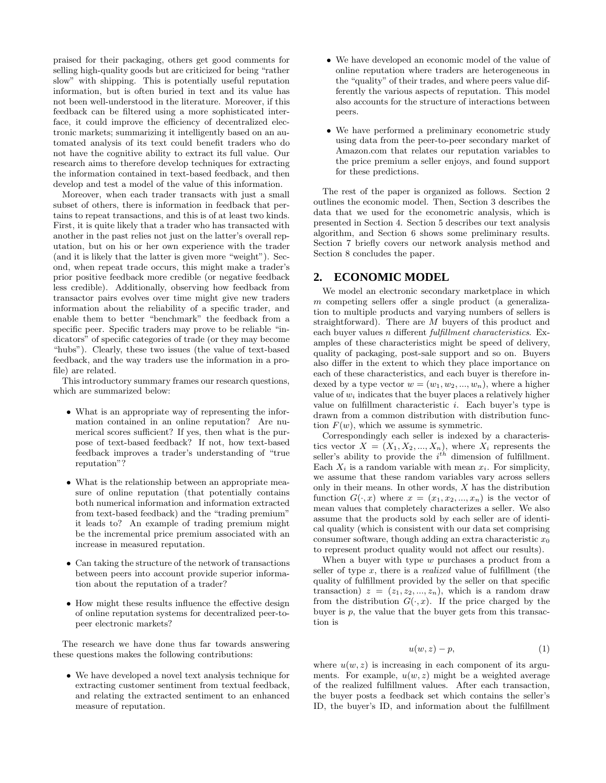praised for their packaging, others get good comments for selling high-quality goods but are criticized for being "rather slow" with shipping. This is potentially useful reputation information, but is often buried in text and its value has not been well-understood in the literature. Moreover, if this feedback can be filtered using a more sophisticated interface, it could improve the efficiency of decentralized electronic markets; summarizing it intelligently based on an automated analysis of its text could benefit traders who do not have the cognitive ability to extract its full value. Our research aims to therefore develop techniques for extracting the information contained in text-based feedback, and then develop and test a model of the value of this information.

Moreover, when each trader transacts with just a small subset of others, there is information in feedback that pertains to repeat transactions, and this is of at least two kinds. First, it is quite likely that a trader who has transacted with another in the past relies not just on the latter's overall reputation, but on his or her own experience with the trader (and it is likely that the latter is given more "weight"). Second, when repeat trade occurs, this might make a trader's prior positive feedback more credible (or negative feedback less credible). Additionally, observing how feedback from transactor pairs evolves over time might give new traders information about the reliability of a specific trader, and enable them to better "benchmark" the feedback from a specific peer. Specific traders may prove to be reliable "indicators" of specific categories of trade (or they may become "hubs"). Clearly, these two issues (the value of text-based feedback, and the way traders use the information in a profile) are related.

This introductory summary frames our research questions, which are summarized below:

- What is an appropriate way of representing the information contained in an online reputation? Are numerical scores sufficient? If yes, then what is the purpose of text-based feedback? If not, how text-based feedback improves a trader's understanding of "true reputation"?
- What is the relationship between an appropriate measure of online reputation (that potentially contains both numerical information and information extracted from text-based feedback) and the "trading premium" it leads to? An example of trading premium might be the incremental price premium associated with an increase in measured reputation.
- Can taking the structure of the network of transactions between peers into account provide superior information about the reputation of a trader?
- How might these results influence the effective design of online reputation systems for decentralized peer-topeer electronic markets?

The research we have done thus far towards answering these questions makes the following contributions:

• We have developed a novel text analysis technique for extracting customer sentiment from textual feedback, and relating the extracted sentiment to an enhanced measure of reputation.

- We have developed an economic model of the value of online reputation where traders are heterogeneous in the "quality" of their trades, and where peers value differently the various aspects of reputation. This model also accounts for the structure of interactions between peers.
- We have performed a preliminary econometric study using data from the peer-to-peer secondary market of Amazon.com that relates our reputation variables to the price premium a seller enjoys, and found support for these predictions.

The rest of the paper is organized as follows. Section 2 outlines the economic model. Then, Section 3 describes the data that we used for the econometric analysis, which is presented in Section 4. Section 5 describes our text analysis algorithm, and Section 6 shows some preliminary results. Section 7 briefly covers our network analysis method and Section 8 concludes the paper.

# **2. ECONOMIC MODEL**

We model an electronic secondary marketplace in which  $m$  competing sellers offer a single product (a generalization to multiple products and varying numbers of sellers is straightforward). There are M buyers of this product and each buyer values n different *fulfillment characteristics*. Examples of these characteristics might be speed of delivery, quality of packaging, post-sale support and so on. Buyers also differ in the extent to which they place importance on each of these characteristics, and each buyer is therefore indexed by a type vector  $w = (w_1, w_2, ..., w_n)$ , where a higher value of w*<sup>i</sup>* indicates that the buyer places a relatively higher value on fulfillment characteristic i. Each buyer's type is drawn from a common distribution with distribution function  $F(w)$ , which we assume is symmetric.

Correspondingly each seller is indexed by a characteristics vector  $X = (X_1, X_2, ..., X_n)$ , where  $X_i$  represents the seller's ability to provide the  $i^{th}$  dimension of fulfillment. Each  $X_i$  is a random variable with mean  $x_i$ . For simplicity, we assume that these random variables vary across sellers only in their means. In other words,  $X$  has the distribution function  $G(\cdot, x)$  where  $x = (x_1, x_2, ..., x_n)$  is the vector of mean values that completely characterizes a seller. We also assume that the products sold by each seller are of identical quality (which is consistent with our data set comprising consumer software, though adding an extra characteristic  $x_0$ to represent product quality would not affect our results).

When a buyer with type  $w$  purchases a product from a seller of type x, there is a *realized* value of fulfillment (the quality of fulfillment provided by the seller on that specific transaction)  $z = (z_1, z_2, ..., z_n)$ , which is a random draw from the distribution  $G(\cdot, x)$ . If the price charged by the buyer is  $p$ , the value that the buyer gets from this transaction is

$$
u(w, z) - p,\tag{1}
$$

where  $u(w, z)$  is increasing in each component of its arguments. For example,  $u(w, z)$  might be a weighted average of the realized fulfillment values. After each transaction, the buyer posts a feedback set which contains the seller's ID, the buyer's ID, and information about the fulfillment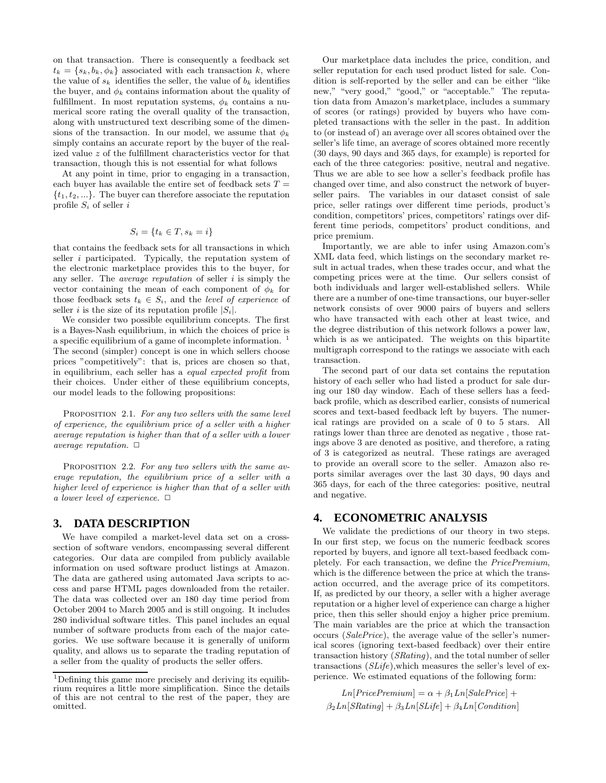on that transaction. There is consequently a feedback set  $t_k = \{s_k, b_k, \phi_k\}$  associated with each transaction k, where the value of  $s_k$  identifies the seller, the value of  $b_k$  identifies the buyer, and  $\phi_k$  contains information about the quality of fulfillment. In most reputation systems,  $\phi_k$  contains a numerical score rating the overall quality of the transaction, along with unstructured text describing some of the dimensions of the transaction. In our model, we assume that  $\phi_k$ simply contains an accurate report by the buyer of the realized value z of the fulfillment characteristics vector for that transaction, though this is not essential for what follows

At any point in time, prior to engaging in a transaction, each buyer has available the entire set of feedback sets  $T =$  $\{t_1, t_2, ...\}$ . The buyer can therefore associate the reputation profile S*<sup>i</sup>* of seller i

$$
S_i = \{ t_k \in T, s_k = i \}
$$

that contains the feedback sets for all transactions in which seller i participated. Typically, the reputation system of the electronic marketplace provides this to the buyer, for any seller. The *average reputation* of seller i is simply the vector containing the mean of each component of  $\phi_k$  for those feedback sets  $t_k \in S_i$ , and the *level of experience* of seller *i* is the size of its reputation profile  $|S_i|$ .

We consider two possible equilibrium concepts. The first is a Bayes-Nash equilibrium, in which the choices of price is a specific equilibrium of a game of incomplete information.  $\frac{1}{1}$ The second (simpler) concept is one in which sellers choose prices "competitively": that is, prices are chosen so that, in equilibrium, each seller has a *equal expected profit* from their choices. Under either of these equilibrium concepts, our model leads to the following propositions:

Proposition 2.1. *For any two sellers with the same level of experience, the equilibrium price of a seller with a higher average reputation is higher than that of a seller with a lower average reputation.* ✷

PROPOSITION 2.2. For any two sellers with the same av*erage reputation, the equilibrium price of a seller with a higher level of experience is higher than that of a seller with a lower level of experience.*  $\Box$ 

#### **3. DATA DESCRIPTION**

We have compiled a market-level data set on a crosssection of software vendors, encompassing several different categories. Our data are compiled from publicly available information on used software product listings at Amazon. The data are gathered using automated Java scripts to access and parse HTML pages downloaded from the retailer. The data was collected over an 180 day time period from October 2004 to March 2005 and is still ongoing. It includes 280 individual software titles. This panel includes an equal number of software products from each of the major categories. We use software because it is generally of uniform quality, and allows us to separate the trading reputation of a seller from the quality of products the seller offers.

Our marketplace data includes the price, condition, and seller reputation for each used product listed for sale. Condition is self-reported by the seller and can be either "like new," "very good," "good," or "acceptable." The reputation data from Amazon's marketplace, includes a summary of scores (or ratings) provided by buyers who have completed transactions with the seller in the past. In addition to (or instead of) an average over all scores obtained over the seller's life time, an average of scores obtained more recently (30 days, 90 days and 365 days, for example) is reported for each of the three categories: positive, neutral and negative. Thus we are able to see how a seller's feedback profile has changed over time, and also construct the network of buyerseller pairs. The variables in our dataset consist of sale price, seller ratings over different time periods, product's condition, competitors' prices, competitors' ratings over different time periods, competitors' product conditions, and price premium.

Importantly, we are able to infer using Amazon.com's XML data feed, which listings on the secondary market result in actual trades, when these trades occur, and what the competing prices were at the time. Our sellers consist of both individuals and larger well-established sellers. While there are a number of one-time transactions, our buyer-seller network consists of over 9000 pairs of buyers and sellers who have transacted with each other at least twice, and the degree distribution of this network follows a power law, which is as we anticipated. The weights on this bipartite multigraph correspond to the ratings we associate with each transaction.

The second part of our data set contains the reputation history of each seller who had listed a product for sale during our 180 day window. Each of these sellers has a feedback profile, which as described earlier, consists of numerical scores and text-based feedback left by buyers. The numerical ratings are provided on a scale of 0 to 5 stars. All ratings lower than three are denoted as negative , those ratings above 3 are denoted as positive, and therefore, a rating of 3 is categorized as neutral. These ratings are averaged to provide an overall score to the seller. Amazon also reports similar averages over the last 30 days, 90 days and 365 days, for each of the three categories: positive, neutral and negative.

# **4. ECONOMETRIC ANALYSIS**

We validate the predictions of our theory in two steps. In our first step, we focus on the numeric feedback scores reported by buyers, and ignore all text-based feedback completely. For each transaction, we define the *PricePremium*, which is the difference between the price at which the transaction occurred, and the average price of its competitors. If, as predicted by our theory, a seller with a higher average reputation or a higher level of experience can charge a higher price, then this seller should enjoy a higher price premium. The main variables are the price at which the transaction occurs (*SalePrice*), the average value of the seller's numerical scores (ignoring text-based feedback) over their entire transaction history (*SRating*), and the total number of seller transactions (*SLife*),which measures the seller's level of experience. We estimated equations of the following form:

 $Ln[PricePremium] = \alpha + \beta_1 Ln[ SalePrice] +$  $\beta_2 Ln[SRating] + \beta_3 Ln[SLife] + \beta_4 Ln[Condition]$ 

<sup>1</sup>Defining this game more precisely and deriving its equilibrium requires a little more simplification. Since the details of this are not central to the rest of the paper, they are omitted.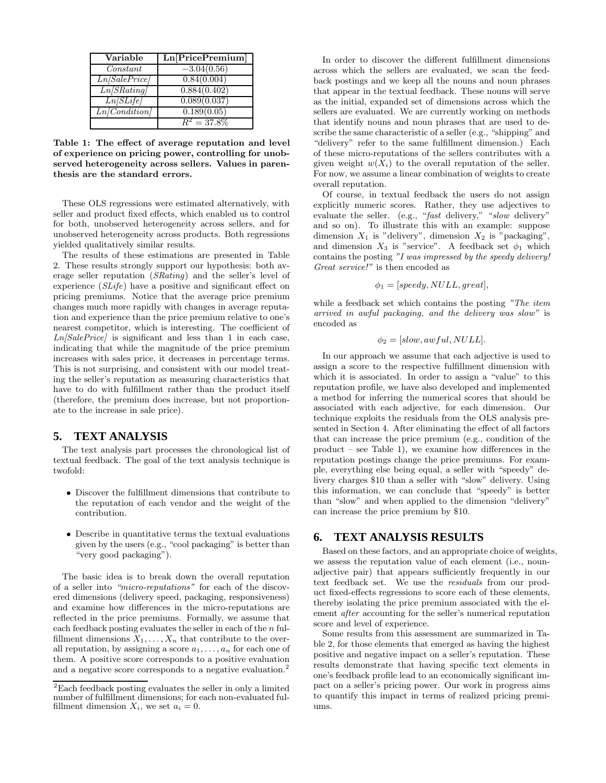| Variable               | Ln[PricePremium] |
|------------------------|------------------|
| Constant               | $-3.04(0.56)$    |
| Ln[SalePrice]          | 0.84(0.004)      |
| Ln/SRating             | 0.884(0.402)     |
| $\overline{Ln[SLife]}$ | 0.089(0.037)     |
| Ln[Condition]          | 0.189(0.05)      |
|                        | $R^2 = 37.8\%$   |

**Table 1: The effect of average reputation and level of experience on pricing power, controlling for unobserved heterogeneity across sellers. Values in parenthesis are the standard errors.**

These OLS regressions were estimated alternatively, with seller and product fixed effects, which enabled us to control for both, unobserved heterogeneity across sellers, and for unobserved heterogeneity across products. Both regressions yielded qualitatively similar results.

The results of these estimations are presented in Table 2. These results strongly support our hypothesis: both average seller reputation (*SRating*) and the seller's level of experience (*SLife*) have a positive and significant effect on pricing premiums. Notice that the average price premium changes much more rapidly with changes in average reputation and experience than the price premium relative to one's nearest competitor, which is interesting. The coefficient of *Ln[SalePrice]* is significant and less than 1 in each case, indicating that while the magnitude of the price premium increases with sales price, it decreases in percentage terms. This is not surprising, and consistent with our model treating the seller's reputation as measuring characteristics that have to do with fulfillment rather than the product itself (therefore, the premium does increase, but not proportionate to the increase in sale price).

## **5. TEXT ANALYSIS**

The text analysis part processes the chronological list of textual feedback. The goal of the text analysis technique is twofold:

- Discover the fulfillment dimensions that contribute to the reputation of each vendor and the weight of the contribution.
- Describe in quantitative terms the textual evaluations given by the users (e.g., "cool packaging" is better than "very good packaging").

The basic idea is to break down the overall reputation of a seller into *"micro-reputations"* for each of the discovered dimensions (delivery speed, packaging, responsiveness) and examine how differences in the micro-reputations are reflected in the price premiums. Formally, we assume that each feedback posting evaluates the seller in each of the  $n$  fulfillment dimensions  $X_1, \ldots, X_n$  that contribute to the overall reputation, by assigning a score  $a_1, \ldots, a_n$  for each one of them. A positive score corresponds to a positive evaluation and a negative score corresponds to a negative evaluation.<sup>2</sup>

In order to discover the different fulfillment dimensions across which the sellers are evaluated, we scan the feedback postings and we keep all the nouns and noun phrases that appear in the textual feedback. These nouns will serve as the initial, expanded set of dimensions across which the sellers are evaluated. We are currently working on methods that identify nouns and noun phrases that are used to describe the same characteristic of a seller (e.g., "shipping" and "delivery" refer to the same fulfillment dimension.) Each of these micro-reputations of the sellers contributes with a given weight  $w(X_i)$  to the overall reputation of the seller. For now, we assume a linear combination of weights to create overall reputation.

Of course, in textual feedback the users do not assign explicitly numeric scores. Rather, they use adjectives to evaluate the seller. (e.g., "*fast* delivery," "*slow* delivery" and so on). To illustrate this with an example: suppose dimension  $X_1$  is "delivery", dimension  $X_2$  is "packaging", and dimension  $X_3$  is "service". A feedback set  $\phi_1$  which contains the posting *"I was impressed by the speedy delivery! Great service!"* is then encoded as

$$
\phi_1 = [speedy, NULL, great],
$$

while a feedback set which contains the posting *"The item arrived in awful packaging, and the delivery was slow"* is encoded as

$$
\phi_2 = [slow, awful, NULL].
$$

In our approach we assume that each adjective is used to assign a score to the respective fulfillment dimension with which it is associated. In order to assign a "value" to this reputation profile, we have also developed and implemented a method for inferring the numerical scores that should be associated with each adjective, for each dimension. Our technique exploits the residuals from the OLS analysis presented in Section 4. After eliminating the effect of all factors that can increase the price premium (e.g., condition of the product – see Table 1), we examine how differences in the reputation postings change the price premiums. For example, everything else being equal, a seller with "speedy" delivery charges \$10 than a seller with "slow" delivery. Using this information, we can conclude that "speedy" is better than "slow" and when applied to the dimension "delivery" can increase the price premium by \$10.

## **6. TEXT ANALYSIS RESULTS**

Based on these factors, and an appropriate choice of weights, we assess the reputation value of each element (i.e., nounadjective pair) that appears sufficiently frequently in our text feedback set. We use the *residuals* from our product fixed-effects regressions to score each of these elements, thereby isolating the price premium associated with the element *after* accounting for the seller's numerical reputation score and level of experience.

Some results from this assessment are summarized in Table 2, for those elements that emerged as having the highest positive and negative impact on a seller's reputation. These results demonstrate that having specific text elements in one's feedback profile lead to an economically significant impact on a seller's pricing power. Our work in progress aims to quantify this impact in terms of realized pricing premiums.

 $^2\mbox{Each feedback posting evaluates the seller in only a limited}$ number of fulfillment dimensions; for each non-evaluated fulfillment dimension  $X_i$ , we set  $a_i = 0$ .